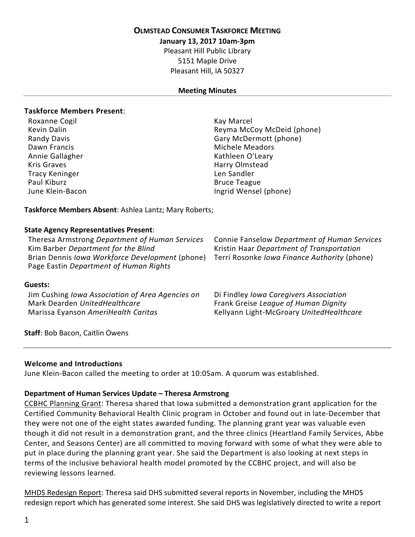## **OLMSTEAD CONSUMER TASKFORCE MEETING**

**January 13, 2017 10am-3pm**

Pleasant Hill Public Library 5151 Maple Drive Pleasant Hill, IA 50327

## **Meeting Minutes**

## **Taskforce Members Present**:

Roxanne Cogil November 2012 12:00 November 2014 Dawn Francis **Michele Meadors** Michele Meadors Annie Gallagher Kathleen O'Leary Kris Graves **Harry Olmstead** Tracy Keninger Len Sandler Paul Kiburz **Bruce Teague** 

Kevin Dalin **Reyma McCoy McDeid (phone)** Reyma McCoy McDeid (phone) Randy Davis Gary McDermott (phone) June Klein-Bacon **Ingrid Wensel (phone)** 

**Taskforce Members Absent**: Ashlea Lantz; Mary Roberts;

## **State Agency Representatives Present**:

Theresa Armstrong *Department of Human Services* Connie Fanselow *Department of Human Services* Kim Barber *Department for the Blind* Kristin Haar *Department of Transportation* Brian Dennis *Iowa Workforce Development* (phone) Terri Rosonke *Iowa Finance Authority* (phone) Page Eastin *Department of Human Rights*

### **Guests:**

Jim Cushing *Iowa Association of Area Agencies on* **Mark Dearden UnitedHealthcare**<br>Marissa Eyanson AmeriHealth Caritas

Di Findley *Iowa Caregivers Association* Mark Dearden *UnitedHealthcare* Frank Greise *League of Human Dignity* Marissa Eyanson *AmeriHealth Caritas* Kellyann Light-McGroary *UnitedHealthcare*

**Staff**: Bob Bacon, Caitlin Owens

### **Welcome and Introductions**

June Klein-Bacon called the meeting to order at 10:05am. A quorum was established.

### **Department of Human Services Update – Theresa Armstrong**

CCBHC Planning Grant: Theresa shared that Iowa submitted a demonstration grant application for the Certified Community Behavioral Health Clinic program in October and found out in late-December that they were not one of the eight states awarded funding. The planning grant year was valuable even though it did not result in a demonstration grant, and the three clinics (Heartland Family Services, Abbe Center, and Seasons Center) are all committed to moving forward with some of what they were able to put in place during the planning grant year. She said the Department is also looking at next steps in terms of the inclusive behavioral health model promoted by the CCBHC project, and will also be reviewing lessons learned.

MHDS Redesign Report: Theresa said DHS submitted several reports in November, including the MHDS redesign report which has generated some interest. She said DHS was legislatively directed to write a report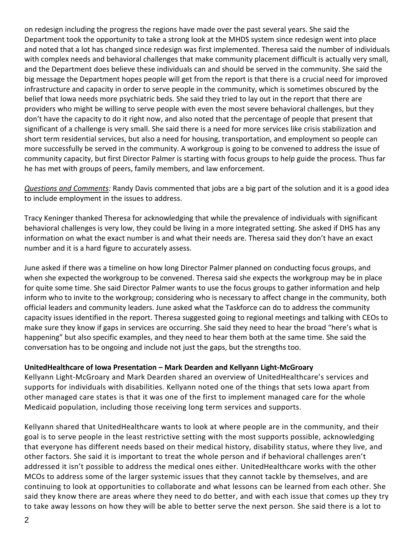on redesign including the progress the regions have made over the past several years. She said the Department took the opportunity to take a strong look at the MHDS system since redesign went into place and noted that a lot has changed since redesign was first implemented. Theresa said the number of individuals with complex needs and behavioral challenges that make community placement difficult is actually very small, and the Department does believe these individuals can and should be served in the community. She said the big message the Department hopes people will get from the report is that there is a crucial need for improved infrastructure and capacity in order to serve people in the community, which is sometimes obscured by the belief that Iowa needs more psychiatric beds. She said they tried to lay out in the report that there are providers who might be willing to serve people with even the most severe behavioral challenges, but they don't have the capacity to do it right now, and also noted that the percentage of people that present that significant of a challenge is very small. She said there is a need for more services like crisis stabilization and short term residential services, but also a need for housing, transportation, and employment so people can more successfully be served in the community. A workgroup is going to be convened to address the issue of community capacity, but first Director Palmer is starting with focus groups to help guide the process. Thus far he has met with groups of peers, family members, and law enforcement.

*Questions and Comments:* Randy Davis commented that jobs are a big part of the solution and it is a good idea to include employment in the issues to address.

Tracy Keninger thanked Theresa for acknowledging that while the prevalence of individuals with significant behavioral challenges is very low, they could be living in a more integrated setting. She asked if DHS has any information on what the exact number is and what their needs are. Theresa said they don't have an exact number and it is a hard figure to accurately assess.

June asked if there was a timeline on how long Director Palmer planned on conducting focus groups, and when she expected the workgroup to be convened. Theresa said she expects the workgroup may be in place for quite some time. She said Director Palmer wants to use the focus groups to gather information and help inform who to invite to the workgroup; considering who is necessary to affect change in the community, both official leaders and community leaders. June asked what the Taskforce can do to address the community capacity issues identified in the report. Theresa suggested going to regional meetings and talking with CEOs to make sure they know if gaps in services are occurring. She said they need to hear the broad "here's what is happening" but also specific examples, and they need to hear them both at the same time. She said the conversation has to be ongoing and include not just the gaps, but the strengths too.

# **UnitedHealthcare of Iowa Presentation – Mark Dearden and Kellyann Light-McGroary**

Kellyann Light-McGroary and Mark Dearden shared an overview of UnitedHealthcare's services and supports for individuals with disabilities. Kellyann noted one of the things that sets Iowa apart from other managed care states is that it was one of the first to implement managed care for the whole Medicaid population, including those receiving long term services and supports.

Kellyann shared that UnitedHealthcare wants to look at where people are in the community, and their goal is to serve people in the least restrictive setting with the most supports possible, acknowledging that everyone has different needs based on their medical history, disability status, where they live, and other factors. She said it is important to treat the whole person and if behavioral challenges aren't addressed it isn't possible to address the medical ones either. UnitedHealthcare works with the other MCOs to address some of the larger systemic issues that they cannot tackle by themselves, and are continuing to look at opportunities to collaborate and what lessons can be learned from each other. She said they know there are areas where they need to do better, and with each issue that comes up they try to take away lessons on how they will be able to better serve the next person. She said there is a lot to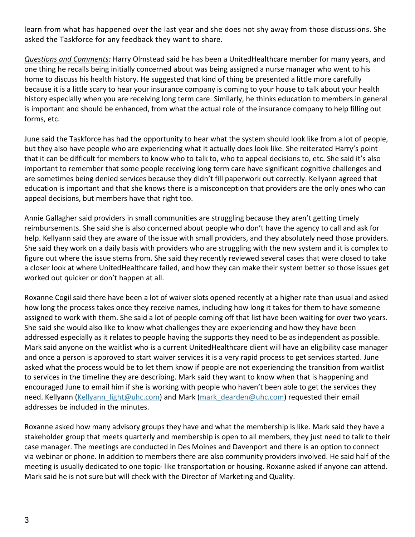learn from what has happened over the last year and she does not shy away from those discussions. She asked the Taskforce for any feedback they want to share.

*Questions and Comments:* Harry Olmstead said he has been a UnitedHealthcare member for many years, and one thing he recalls being initially concerned about was being assigned a nurse manager who went to his home to discuss his health history. He suggested that kind of thing be presented a little more carefully because it is a little scary to hear your insurance company is coming to your house to talk about your health history especially when you are receiving long term care. Similarly, he thinks education to members in general is important and should be enhanced, from what the actual role of the insurance company to help filling out forms, etc.

June said the Taskforce has had the opportunity to hear what the system should look like from a lot of people, but they also have people who are experiencing what it actually does look like. She reiterated Harry's point that it can be difficult for members to know who to talk to, who to appeal decisions to, etc. She said it's also important to remember that some people receiving long term care have significant cognitive challenges and are sometimes being denied services because they didn't fill paperwork out correctly. Kellyann agreed that education is important and that she knows there is a misconception that providers are the only ones who can appeal decisions, but members have that right too.

Annie Gallagher said providers in small communities are struggling because they aren't getting timely reimbursements. She said she is also concerned about people who don't have the agency to call and ask for help. Kellyann said they are aware of the issue with small providers, and they absolutely need those providers. She said they work on a daily basis with providers who are struggling with the new system and it is complex to figure out where the issue stems from. She said they recently reviewed several cases that were closed to take a closer look at where UnitedHealthcare failed, and how they can make their system better so those issues get worked out quicker or don't happen at all.

Roxanne Cogil said there have been a lot of waiver slots opened recently at a higher rate than usual and asked how long the process takes once they receive names, including how long it takes for them to have someone assigned to work with them. She said a lot of people coming off that list have been waiting for over two years. She said she would also like to know what challenges they are experiencing and how they have been addressed especially as it relates to people having the supports they need to be as independent as possible. Mark said anyone on the waitlist who is a current UnitedHealthcare client will have an eligibility case manager and once a person is approved to start waiver services it is a very rapid process to get services started. June asked what the process would be to let them know if people are not experiencing the transition from waitlist to services in the timeline they are describing. Mark said they want to know when that is happening and encouraged June to email him if she is working with people who haven't been able to get the services they need. Kellyann (Kellyann light@uhc.com) and Mark (mark dearden@uhc.com) requested their email addresses be included in the minutes.

Roxanne asked how many advisory groups they have and what the membership is like. Mark said they have a stakeholder group that meets quarterly and membership is open to all members, they just need to talk to their case manager. The meetings are conducted in Des Moines and Davenport and there is an option to connect via webinar or phone. In addition to members there are also community providers involved. He said half of the meeting is usually dedicated to one topic- like transportation or housing. Roxanne asked if anyone can attend. Mark said he is not sure but will check with the Director of Marketing and Quality.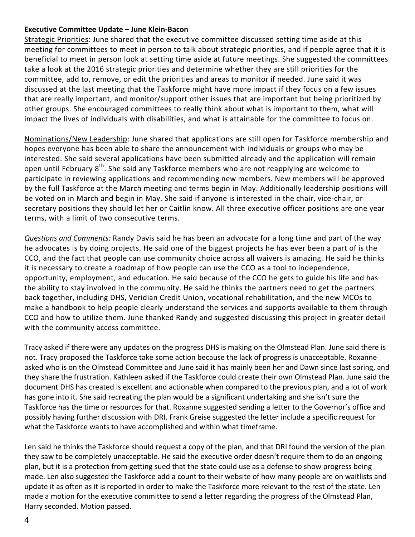## **Executive Committee Update – June Klein-Bacon**

Strategic Priorities: June shared that the executive committee discussed setting time aside at this meeting for committees to meet in person to talk about strategic priorities, and if people agree that it is beneficial to meet in person look at setting time aside at future meetings. She suggested the committees take a look at the 2016 strategic priorities and determine whether they are still priorities for the committee, add to, remove, or edit the priorities and areas to monitor if needed. June said it was discussed at the last meeting that the Taskforce might have more impact if they focus on a few issues that are really important, and monitor/support other issues that are important but being prioritized by other groups. She encouraged committees to really think about what is important to them, what will impact the lives of individuals with disabilities, and what is attainable for the committee to focus on.

Nominations/New Leadership: June shared that applications are still open for Taskforce membership and hopes everyone has been able to share the announcement with individuals or groups who may be interested. She said several applications have been submitted already and the application will remain open until February 8<sup>th</sup>. She said any Taskforce members who are not reapplying are welcome to participate in reviewing applications and recommending new members. New members will be approved by the full Taskforce at the March meeting and terms begin in May. Additionally leadership positions will be voted on in March and begin in May. She said if anyone is interested in the chair, vice-chair, or secretary positions they should let her or Caitlin know. All three executive officer positions are one year terms, with a limit of two consecutive terms.

*Questions and Comments:* Randy Davis said he has been an advocate for a long time and part of the way he advocates is by doing projects. He said one of the biggest projects he has ever been a part of is the CCO, and the fact that people can use community choice across all waivers is amazing. He said he thinks it is necessary to create a roadmap of how people can use the CCO as a tool to independence, opportunity, employment, and education. He said because of the CCO he gets to guide his life and has the ability to stay involved in the community. He said he thinks the partners need to get the partners back together, including DHS, Veridian Credit Union, vocational rehabilitation, and the new MCOs to make a handbook to help people clearly understand the services and supports available to them through CCO and how to utilize them. June thanked Randy and suggested discussing this project in greater detail with the community access committee.

Tracy asked if there were any updates on the progress DHS is making on the Olmstead Plan. June said there is not. Tracy proposed the Taskforce take some action because the lack of progress is unacceptable. Roxanne asked who is on the Olmstead Committee and June said it has mainly been her and Dawn since last spring, and they share the frustration. Kathleen asked if the Taskforce could create their own Olmstead Plan. June said the document DHS has created is excellent and actionable when compared to the previous plan, and a lot of work has gone into it. She said recreating the plan would be a significant undertaking and she isn't sure the Taskforce has the time or resources for that. Roxanne suggested sending a letter to the Governor's office and possibly having further discussion with DRI. Frank Greise suggested the letter include a specific request for what the Taskforce wants to have accomplished and within what timeframe.

Len said he thinks the Taskforce should request a copy of the plan, and that DRI found the version of the plan they saw to be completely unacceptable. He said the executive order doesn't require them to do an ongoing plan, but it is a protection from getting sued that the state could use as a defense to show progress being made. Len also suggested the Taskforce add a count to their website of how many people are on waitlists and update it as often as it is reported in order to make the Taskforce more relevant to the rest of the state. Len made a motion for the executive committee to send a letter regarding the progress of the Olmstead Plan, Harry seconded. Motion passed.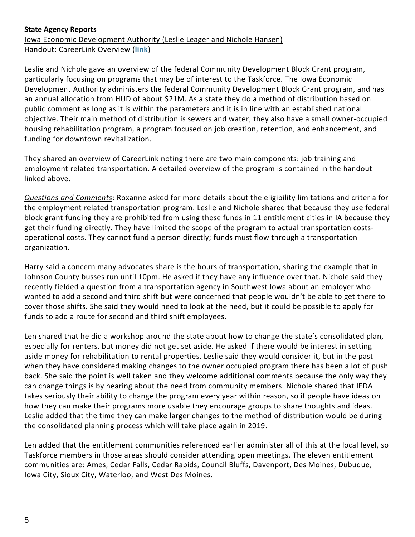# **State Agency Reports**

Iowa Economic Development Authority (Leslie Leager and Nichole Hansen) Handout: CareerLink Overview (**[link](file://///fs.healthcare.uiowa.edu/CDD/Users/cowns/OCTF/OCTF%202016/Meetings/2017%20Agendas%20Minutes%20and%20Mtg%20Materials/Jan%20Mtg%20Materials/IEDA%20Career%20Link%20Handout.pdf)**)

Leslie and Nichole gave an overview of the federal Community Development Block Grant program, particularly focusing on programs that may be of interest to the Taskforce. The Iowa Economic Development Authority administers the federal Community Development Block Grant program, and has an annual allocation from HUD of about \$21M. As a state they do a method of distribution based on public comment as long as it is within the parameters and it is in line with an established national objective. Their main method of distribution is sewers and water; they also have a small owner-occupied housing rehabilitation program, a program focused on job creation, retention, and enhancement, and funding for downtown revitalization.

They shared an overview of CareerLink noting there are two main components: job training and employment related transportation. A detailed overview of the program is contained in the handout linked above.

*Questions and Comments*: Roxanne asked for more details about the eligibility limitations and criteria for the employment related transportation program. Leslie and Nichole shared that because they use federal block grant funding they are prohibited from using these funds in 11 entitlement cities in IA because they get their funding directly. They have limited the scope of the program to actual transportation costsoperational costs. They cannot fund a person directly; funds must flow through a transportation organization.

Harry said a concern many advocates share is the hours of transportation, sharing the example that in Johnson County busses run until 10pm. He asked if they have any influence over that. Nichole said they recently fielded a question from a transportation agency in Southwest Iowa about an employer who wanted to add a second and third shift but were concerned that people wouldn't be able to get there to cover those shifts. She said they would need to look at the need, but it could be possible to apply for funds to add a route for second and third shift employees.

Len shared that he did a workshop around the state about how to change the state's consolidated plan, especially for renters, but money did not get set aside. He asked if there would be interest in setting aside money for rehabilitation to rental properties. Leslie said they would consider it, but in the past when they have considered making changes to the owner occupied program there has been a lot of push back. She said the point is well taken and they welcome additional comments because the only way they can change things is by hearing about the need from community members. Nichole shared that IEDA takes seriously their ability to change the program every year within reason, so if people have ideas on how they can make their programs more usable they encourage groups to share thoughts and ideas. Leslie added that the time they can make larger changes to the method of distribution would be during the consolidated planning process which will take place again in 2019.

Len added that the entitlement communities referenced earlier administer all of this at the local level, so Taskforce members in those areas should consider attending open meetings. The eleven entitlement communities are: Ames, Cedar Falls, Cedar Rapids, Council Bluffs, Davenport, Des Moines, Dubuque, Iowa City, Sioux City, Waterloo, and West Des Moines.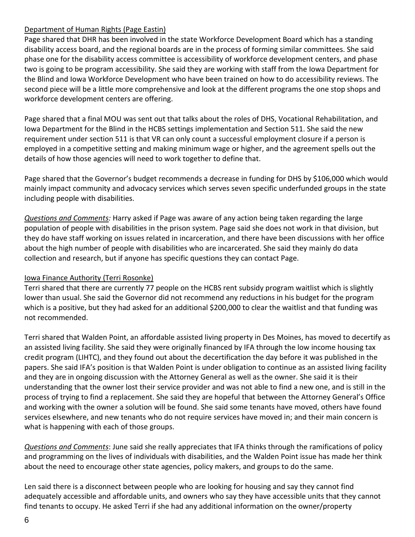# Department of Human Rights (Page Eastin)

Page shared that DHR has been involved in the state Workforce Development Board which has a standing disability access board, and the regional boards are in the process of forming similar committees. She said phase one for the disability access committee is accessibility of workforce development centers, and phase two is going to be program accessibility. She said they are working with staff from the Iowa Department for the Blind and Iowa Workforce Development who have been trained on how to do accessibility reviews. The second piece will be a little more comprehensive and look at the different programs the one stop shops and workforce development centers are offering.

Page shared that a final MOU was sent out that talks about the roles of DHS, Vocational Rehabilitation, and Iowa Department for the Blind in the HCBS settings implementation and Section 511. She said the new requirement under section 511 is that VR can only count a successful employment closure if a person is employed in a competitive setting and making minimum wage or higher, and the agreement spells out the details of how those agencies will need to work together to define that.

Page shared that the Governor's budget recommends a decrease in funding for DHS by \$106,000 which would mainly impact community and advocacy services which serves seven specific underfunded groups in the state including people with disabilities.

*Questions and Comments:* Harry asked if Page was aware of any action being taken regarding the large population of people with disabilities in the prison system. Page said she does not work in that division, but they do have staff working on issues related in incarceration, and there have been discussions with her office about the high number of people with disabilities who are incarcerated. She said they mainly do data collection and research, but if anyone has specific questions they can contact Page.

# Iowa Finance Authority (Terri Rosonke)

Terri shared that there are currently 77 people on the HCBS rent subsidy program waitlist which is slightly lower than usual. She said the Governor did not recommend any reductions in his budget for the program which is a positive, but they had asked for an additional \$200,000 to clear the waitlist and that funding was not recommended.

Terri shared that Walden Point, an affordable assisted living property in Des Moines, has moved to decertify as an assisted living facility. She said they were originally financed by IFA through the low income housing tax credit program (LIHTC), and they found out about the decertification the day before it was published in the papers. She said IFA's position is that Walden Point is under obligation to continue as an assisted living facility and they are in ongoing discussion with the Attorney General as well as the owner. She said it is their understanding that the owner lost their service provider and was not able to find a new one, and is still in the process of trying to find a replacement. She said they are hopeful that between the Attorney General's Office and working with the owner a solution will be found. She said some tenants have moved, others have found services elsewhere, and new tenants who do not require services have moved in; and their main concern is what is happening with each of those groups.

*Questions and Comments*: June said she really appreciates that IFA thinks through the ramifications of policy and programming on the lives of individuals with disabilities, and the Walden Point issue has made her think about the need to encourage other state agencies, policy makers, and groups to do the same.

Len said there is a disconnect between people who are looking for housing and say they cannot find adequately accessible and affordable units, and owners who say they have accessible units that they cannot find tenants to occupy. He asked Terri if she had any additional information on the owner/property